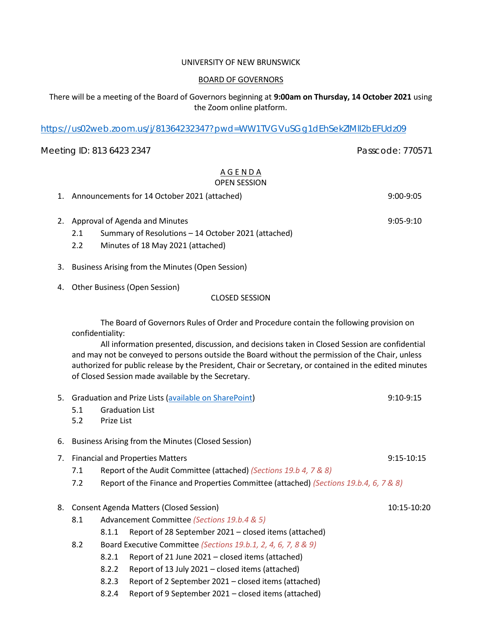#### UNIVERSITY OF NEW BRUNSWICK

#### BOARD OF GOVERNORS

## There will be a meeting of the Board of Governors beginning at **9:00am on Thursday, 14 October 2021** using the Zoom online platform.

#### <https://us02web.zoom.us/j/81364232347?pwd=WW1TVGVuSGg1dEhSekZlMlI2bEFUdz09>

# Meeting ID: 813 6423 2347 **Passcode: 770571**

# A G E N D A OPEN SESSION

- 1. Announcements for 14 October 2021 (attached) 9:00-9:05
- 2. Approval of Agenda and Minutes 8:05-9:10
	- 2.1 Summary of Resolutions 14 October 2021 (attached)
	- 2.2 Minutes of 18 May 2021 (attached)
- 3. Business Arising from the Minutes (Open Session)
- 4. Other Business (Open Session)

## CLOSED SESSION

The Board of Governors Rules of Order and Procedure contain the following provision on confidentiality:

All information presented, discussion, and decisions taken in Closed Session are confidential and may not be conveyed to persons outside the Board without the permission of the Chair, unless authorized for public release by the President, Chair or Secretary, or contained in the edited minutes of Closed Session made available by the Secretary.

| 5. | 5.1<br>5.2                                                                                   | Prize List                                                        | Graduation and Prize Lists (available on SharePoint)<br><b>Graduation List</b> | $9:10-9:15$ |  |  |
|----|----------------------------------------------------------------------------------------------|-------------------------------------------------------------------|--------------------------------------------------------------------------------|-------------|--|--|
| 6. |                                                                                              | Business Arising from the Minutes (Closed Session)                |                                                                                |             |  |  |
| 7. | <b>Financial and Properties Matters</b><br>9:15-10:15                                        |                                                                   |                                                                                |             |  |  |
|    | 7.1                                                                                          | Report of the Audit Committee (attached) (Sections 19.b 4, 7 & 8) |                                                                                |             |  |  |
|    | 7.2<br>Report of the Finance and Properties Committee (attached) (Sections 19.b.4, 6, 7 & 8) |                                                                   |                                                                                |             |  |  |
| 8. | Consent Agenda Matters (Closed Session)<br>10:15-10:20                                       |                                                                   |                                                                                |             |  |  |
|    | 8.1<br>Advancement Committee (Sections 19.b.4 & 5)                                           |                                                                   |                                                                                |             |  |  |
|    |                                                                                              |                                                                   |                                                                                |             |  |  |
|    |                                                                                              | 8.1.1                                                             | Report of 28 September 2021 – closed items (attached)                          |             |  |  |
|    | 8.2                                                                                          | Board Executive Committee (Sections 19.b.1, 2, 4, 6, 7, 8 & 9)    |                                                                                |             |  |  |
|    |                                                                                              | 8.2.1                                                             | Report of 21 June 2021 – closed items (attached)                               |             |  |  |
|    |                                                                                              | 8.2.2                                                             | Report of 13 July 2021 – closed items (attached)                               |             |  |  |
|    |                                                                                              | 8.2.3                                                             | Report of 2 September 2021 – closed items (attached)                           |             |  |  |
|    |                                                                                              |                                                                   |                                                                                |             |  |  |

8.2.4 Report of 9 September 2021 – closed items (attached)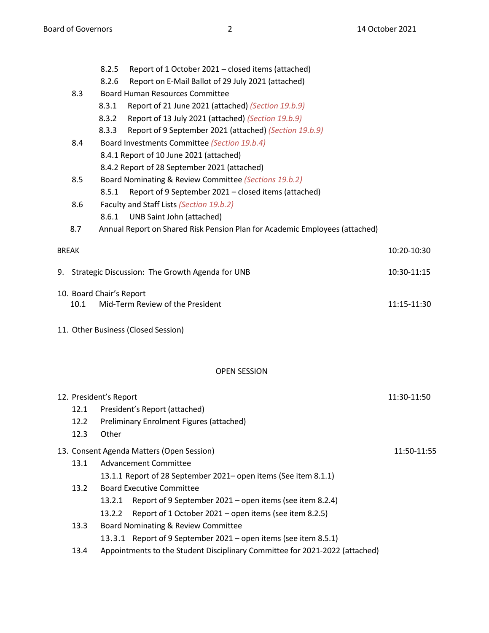- 8.2.5 Report of 1 October 2021 closed items (attached) 8.2.6 Report on E-Mail Ballot of 29 July 2021 (attached) 8.3 Board Human Resources Committee 8.3.1 Report of 21 June 2021 (attached) *(Section 19.b.9)* 8.3.2 Report of 13 July 2021 (attached) *(Section 19.b.9)* 8.3.3 Report of 9 September 2021 (attached) *(Section 19.b.9)* 8.4 Board Investments Committee *(Section 19.b.4)* 8.4.1 Report of 10 June 2021 (attached) 8.4.2 Report of 28 September 2021 (attached) 8.5 Board Nominating & Review Committee *(Sections 19.b.2)* 8.5.1 Report of 9 September 2021 – closed items (attached) 8.6 Faculty and Staff Lists *(Section 19.b.2)* 8.6.1 UNB Saint John (attached) 8.7 Annual Report on Shared Risk Pension Plan for Academic Employees (attached) BREAK 10:20-10:30 9. Strategic Discussion: The Growth Agenda for UNB 10:30-11:15 10. Board Chair's Report 10.1 Mid-Term Review of the President 11:15-11:30 11. Other Business (Closed Session) OPEN SESSION 12. President's Report 11:30-11:50 12.1 President's Report (attached) 12.2 Preliminary Enrolment Figures (attached) 12.3 Other 13. Consent Agenda Matters (Open Session) 11:50-11:55 13.1 Advancement Committee 13.1.1 Report of 28 September 2021– open items (See item 8.1.1)
	- 13.2 Board Executive Committee
		- 13.2.1 Report of 9 September 2021 open items (see item 8.2.4)
		- 13.2.2 Report of 1 October 2021 open items (see item 8.2.5)
	- 13.3 Board Nominating & Review Committee
		- 13.3.1 Report of 9 September 2021 open items (see item 8.5.1)
	- 13.4 Appointments to the Student Disciplinary Committee for 2021-2022 (attached)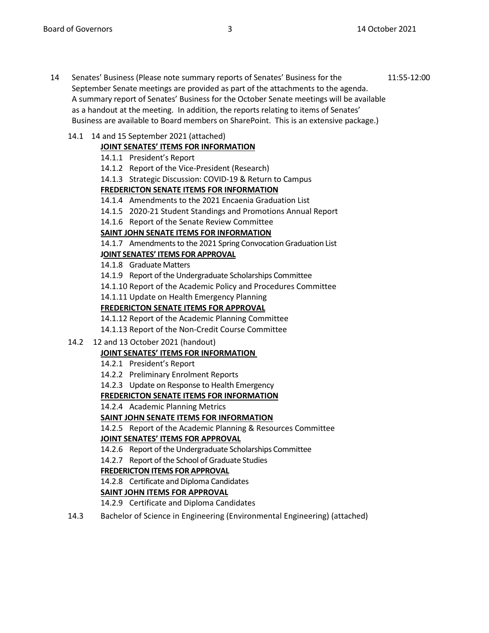14 Senates' Business (Please note summary reports of Senates' Business for the 11:55-12:00 September Senate meetings are provided as part of the attachments to the agenda. A summary report of Senates' Business for the October Senate meetings will be available as a handout at the meeting. In addition, the reports relating to items of Senates' Business are available to Board members on SharePoint. This is an extensive package.)

# 14.1 14 and 15 September 2021 (attached)

# **JOINT SENATES' ITEMS FOR INFORMATION**

- 14.1.1 President's Report
- 14.1.2 Report of the Vice-President (Research)
- 14.1.3 Strategic Discussion: COVID-19 & Return to Campus

## **FREDERICTON SENATE ITEMS FOR INFORMATION**

- 14.1.4 Amendments to the 2021 Encaenia Graduation List
- 14.1.5 2020-21 Student Standings and Promotions Annual Report
- 14.1.6 Report of the Senate Review Committee

## **SAINT JOHN SENATE ITEMS FOR INFORMATION**

14.1.7 Amendments to the 2021 Spring Convocation Graduation List

# **JOINT SENATES' ITEMS FOR APPROVAL**

- 14.1.8 Graduate Matters
- 14.1.9 Report of the Undergraduate Scholarships Committee

14.1.10 Report of the Academic Policy and Procedures Committee

14.1.11 Update on Health Emergency Planning

## **FREDERICTON SENATE ITEMS FOR APPROVAL**

14.1.12 Report of the Academic Planning Committee

- 14.1.13 Report of the Non-Credit Course Committee
- 14.2 12 and 13 October 2021 (handout)

# **JOINT SENATES' ITEMS FOR INFORMATION**

- 14.2.1 President's Report
- 14.2.2 Preliminary Enrolment Reports
- 14.2.3 Update on Response to Health Emergency

# **FREDERICTON SENATE ITEMS FOR INFORMATION**

14.2.4 Academic Planning Metrics

# **SAINT JOHN SENATE ITEMS FOR INFORMATION**

14.2.5 Report of the Academic Planning & Resources Committee

# **JOINT SENATES' ITEMS FOR APPROVAL**

14.2.6 Report of the Undergraduate Scholarships Committee

14.2.7 Report of the School of Graduate Studies

# **FREDERICTON ITEMS FOR APPROVAL**

14.2.8 Certificate and Diploma Candidates

# **SAINT JOHN ITEMS FOR APPROVAL**

14.2.9 Certificate and Diploma Candidates

14.3 Bachelor of Science in Engineering (Environmental Engineering) (attached)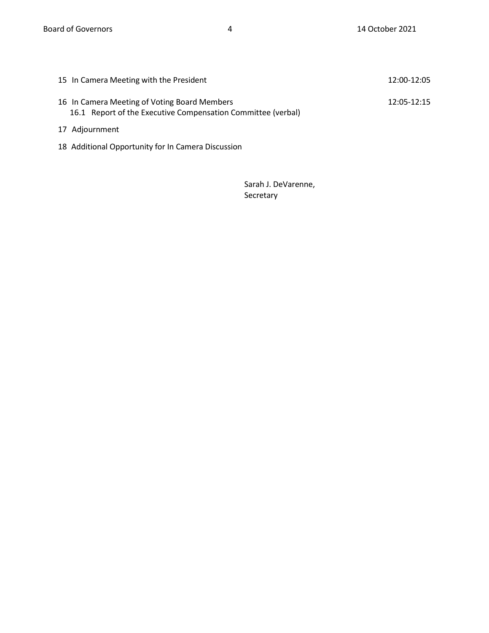| 15 In Camera Meeting with the President                                                                      | 12:00-12:05 |
|--------------------------------------------------------------------------------------------------------------|-------------|
| 16 In Camera Meeting of Voting Board Members<br>16.1 Report of the Executive Compensation Committee (verbal) | 12:05-12:15 |
| 17 Adjournment                                                                                               |             |

18 Additional Opportunity for In Camera Discussion

Sarah J. DeVarenne, Secretary